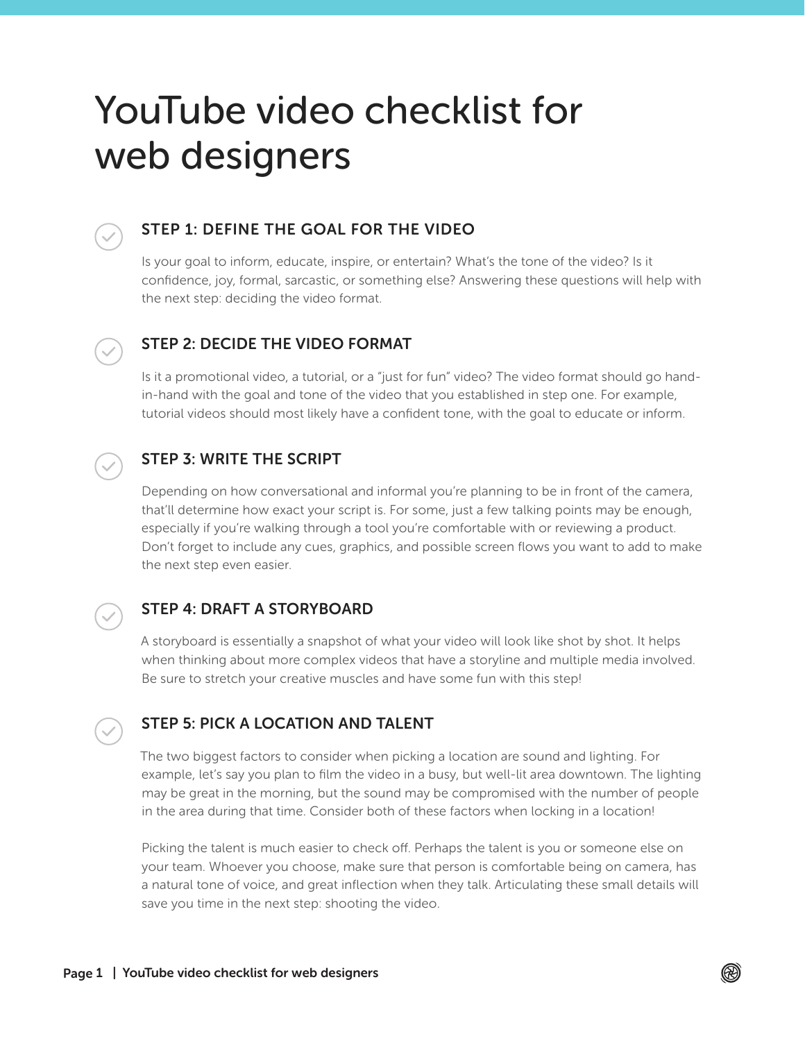# YouTube video checklist for web designers



## STEP 1: DEFINE THE GOAL FOR THE VIDEO

Is your goal to inform, educate, inspire, or entertain? What's the tone of the video? Is it confidence, joy, formal, sarcastic, or something else? Answering these questions will help with the next step: deciding the video format.



## STEP 2: DECIDE THE VIDEO FORMAT

Is it a promotional video, a tutorial, or a "just for fun" video? The video format should go handin-hand with the goal and tone of the video that you established in step one. For example, tutorial videos should most likely have a confident tone, with the goal to educate or inform.



# STEP 3: WRITE THE SCRIPT

Depending on how conversational and informal you're planning to be in front of the camera, that'll determine how exact your script is. For some, just a few talking points may be enough, especially if you're walking through a tool you're comfortable with or reviewing a product. Don't forget to include any cues, graphics, and possible screen flows you want to add to make the next step even easier.



## STEP 4: DRAFT A STORYBOARD

A storyboard is essentially a snapshot of what your video will look like shot by shot. It helps when thinking about more complex videos that have a storyline and multiple media involved. Be sure to stretch your creative muscles and have some fun with this step!

## STEP 5: PICK A LOCATION AND TALENT

The two biggest factors to consider when picking a location are sound and lighting. For example, let's say you plan to film the video in a busy, but well-lit area downtown. The lighting may be great in the morning, but the sound may be compromised with the number of people in the area during that time. Consider both of these factors when locking in a location!

Picking the talent is much easier to check off. Perhaps the talent is you or someone else on your team. Whoever you choose, make sure that person is comfortable being on camera, has a natural tone of voice, and great inflection when they talk. Articulating these small details will save you time in the next step: shooting the video.